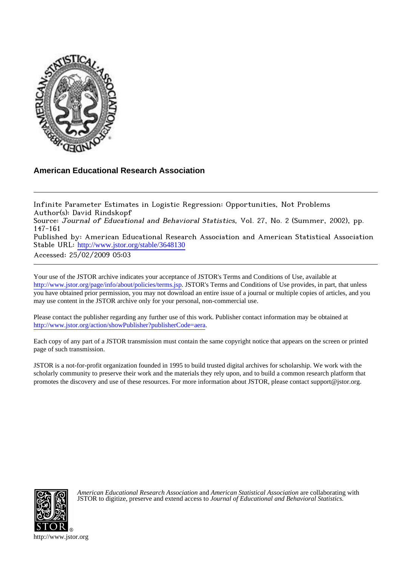

# **American Educational Research Association**

Infinite Parameter Estimates in Logistic Regression: Opportunities, Not Problems Author(s): David Rindskopf Source: Journal of Educational and Behavioral Statistics, Vol. 27, No. 2 (Summer, 2002), pp. 147-161 Published by: American Educational Research Association and American Statistical Association Stable URL: [http://www.jstor.org/stable/3648130](http://www.jstor.org/stable/3648130?origin=JSTOR-pdf) Accessed: 25/02/2009 05:03

Your use of the JSTOR archive indicates your acceptance of JSTOR's Terms and Conditions of Use, available at <http://www.jstor.org/page/info/about/policies/terms.jsp>. JSTOR's Terms and Conditions of Use provides, in part, that unless you have obtained prior permission, you may not download an entire issue of a journal or multiple copies of articles, and you may use content in the JSTOR archive only for your personal, non-commercial use.

Please contact the publisher regarding any further use of this work. Publisher contact information may be obtained at [http://www.jstor.org/action/showPublisher?publisherCode=aera.](http://www.jstor.org/action/showPublisher?publisherCode=aera)

Each copy of any part of a JSTOR transmission must contain the same copyright notice that appears on the screen or printed page of such transmission.

JSTOR is a not-for-profit organization founded in 1995 to build trusted digital archives for scholarship. We work with the scholarly community to preserve their work and the materials they rely upon, and to build a common research platform that promotes the discovery and use of these resources. For more information about JSTOR, please contact support@jstor.org.



*American Educational Research Association* and *American Statistical Association* are collaborating with JSTOR to digitize, preserve and extend access to *Journal of Educational and Behavioral Statistics.*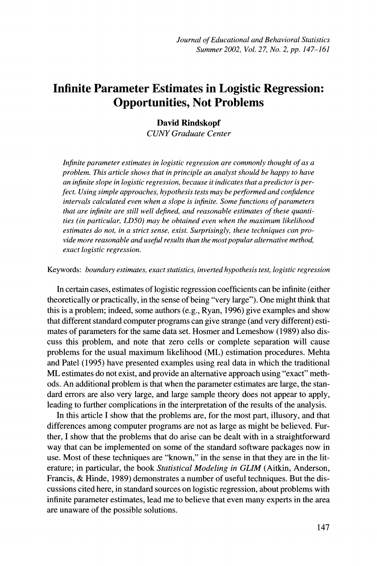# **Infinite Parameter Estimates in Logistic Regression: Opportunities, Not Problems**

### **David Rindskopf**

**CUNY Graduate Center** 

**Infinite parameter estimates in logistic regression are commonly thought of as a problem. This article shows that in principle an analyst should be happy to have an infinite slope in logistic regression, because it indicates that a predictor is perfect. Using simple approaches, hypothesis tests may be performed and confidence intervals calculated even when a slope is infinite. Some functions of parameters**  that are infinite are still well defined, and reasonable estimates of these quanti**ties (in particular, LD50) may be obtained even when the maximum likelihood estimates do not, in a strict sense, exist. Surprisingly, these techniques can provide more reasonable and useful results than the most popular alternative method, exact logistic regression.** 

**Keywords: boundary estimates, exact statistics, inverted hypothesis test, logistic regression** 

**In certain cases, estimates of logistic regression coefficients can be infinite (either theoretically or practically, in the sense of being "very large"). One might think that this is a problem; indeed, some authors (e.g., Ryan, 1996) give examples and show that different standard computer programs can give strange (and very different) estimates of parameters for the same data set. Hosmer and Lemeshow (1989) also discuss this problem, and note that zero cells or complete separation will cause problems for the usual maximum likelihood (ML) estimation procedures. Mehta and Patel (1995) have presented examples using real data in which the traditional ML estimates do not exist, and provide an alternative approach using "exact" methods. An additional problem is that when the parameter estimates are large, the standard errors are also very large, and large sample theory does not appear to apply, leading to further complications in the interpretation of the results of the analysis.** 

**In this article I show that the problems are, for the most part, illusory, and that differences among computer programs are not as large as might be believed. Further, I show that the problems that do arise can be dealt with in a straightforward way that can be implemented on some of the standard software packages now in use. Most of these techniques are "known," in the sense in that they are in the literature; in particular, the book Statistical Modeling in GLIM (Aitkin, Anderson, Francis, & Hinde, 1989) demonstrates a number of useful techniques. But the discussions cited here, in standard sources on logistic regression, about problems with infinite parameter estimates, lead me to believe that even many experts in the area are unaware of the possible solutions.**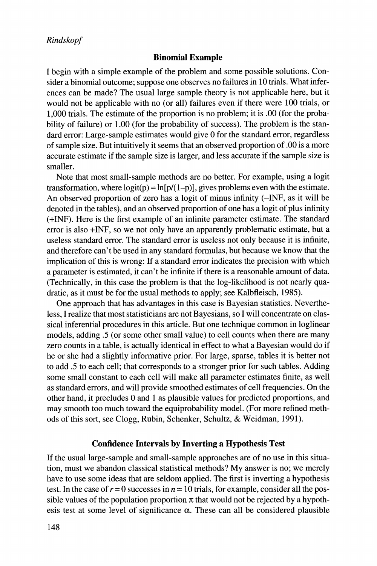#### **Binomial Example**

**I begin with a simple example of the problem and some possible solutions. Consider a binomial outcome; suppose one observes no failures in 10 trials. What inferences can be made? The usual large sample theory is not applicable here, but it would not be applicable with no (or all) failures even if there were 100 trials, or 1,000 trials. The estimate of the proportion is no problem; it is .00 (for the probability of failure) or 1.00 (for the probability of success). The problem is the standard error: Large-sample estimates would give 0 for the standard error, regardless of sample size. But intuitively it seems that an observed proportion of .00 is a more accurate estimate if the sample size is larger, and less accurate if the sample size is smaller.** 

**Note that most small-sample methods are no better. For example, using a logit**  transformation, where  $logit(p) = ln[ p/(1-p) ]$ , gives problems even with the estimate. **An observed proportion of zero has a logit of minus infinity (-INF, as it will be denoted in the tables), and an observed proportion of one has a logit of plus infinity (+INF). Here is the first example of an infinite parameter estimate. The standard error is also +INF, so we not only have an apparently problematic estimate, but a useless standard error. The standard error is useless not only because it is infinite, and therefore can't be used in any standard formulas, but because we know that the implication of this is wrong: If a standard error indicates the precision with which a parameter is estimated, it can't be infinite if there is a reasonable amount of data. (Technically, in this case the problem is that the log-likelihood is not nearly quadratic, as it must be for the usual methods to apply; see Kalbfleisch, 1985).** 

**One approach that has advantages in this case is Bayesian statistics. Nevertheless, I realize that most statisticians are not Bayesians, so I will concentrate on classical inferential procedures in this article. But one technique common in loglinear models, adding .5 (or some other small value) to cell counts when there are many zero counts in a table, is actually identical in effect to what a Bayesian would do if he or she had a slightly informative prior. For large, sparse, tables it is better not to add .5 to each cell; that corresponds to a stronger prior for such tables. Adding some small constant to each cell will make all parameter estimates finite, as well as standard errors, and will provide smoothed estimates of cell frequencies. On the other hand, it precludes 0 and 1 as plausible values for predicted proportions, and may smooth too much toward the equiprobability model. (For more refined methods of this sort, see Clogg, Rubin, Schenker, Schultz, & Weidman, 1991).** 

#### **Confidence Intervals by Inverting a Hypothesis Test**

**If the usual large-sample and small-sample approaches are of no use in this situation, must we abandon classical statistical methods? My answer is no; we merely have to use some ideas that are seldom applied. The first is inverting a hypothesis**  test. In the case of  $r = 0$  successes in  $n = 10$  trials, for example, consider all the possible values of the population proportion  $\pi$  that would not be rejected by a hypoth $e$ sis test at some level of significance  $\alpha$ . These can all be considered plausible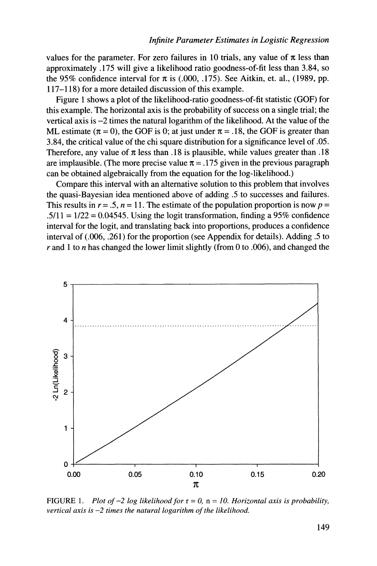values for the parameter. For zero failures in 10 trials, any value of  $\pi$  less than **approximately .175 will give a likelihood ratio goodness-of-fit less than 3.84, so**  the 95% confidence interval for  $\pi$  is  $(.000, .175)$ . See Aitkin, et. al.,  $(1989, pp.$ **117-118) for a more detailed discussion of this example.** 

**Figure 1 shows a plot of the likelihood-ratio goodness-of-fit statistic (GOF) for this example. The horizontal axis is the probability of success on a single trial; the vertical axis is -2 times the natural logarithm of the likelihood. At the value of the ML** estimate  $(\pi = 0)$ , the GOF is 0; at just under  $\pi = .18$ , the GOF is greater than **3.84, the critical value of the chi square distribution for a significance level of .05.**  Therefore, any value of  $\pi$  less than .18 is plausible, while values greater than .18 are implausible. (The more precise value  $\pi = 0.175$  given in the previous paragraph **can be obtained algebraically from the equation for the log-likelihood.)** 

**Compare this interval with an alternative solution to this problem that involves the quasi-Bayesian idea mentioned above of adding .5 to successes and failures.**  This results in  $r = .5$ ,  $n = 11$ . The estimate of the population proportion is now  $p =$ **.5/11 = 1/22 = 0.04545. Using the logit transformation, finding a 95% confidence interval for the logit, and translating back into proportions, produces a confidence interval of (.006, .261) for the proportion (see Appendix for details). Adding .5 to r and 1 to n has changed the lower limit slightly (from 0 to .006), and changed the** 



**FIGURE 1.** Plot of  $-2 \log$  likelihood for  $r = 0$ ,  $n = 10$ . Horizontal axis is probability, **vertical axis is -2 times the natural logarithm of the likelihood.**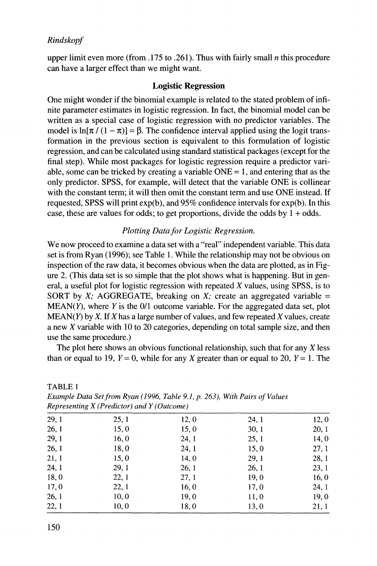**upper limit even more (from .175 to .261). Thus with fairly small n this procedure can have a larger effect than we might want.** 

#### **Logistic Regression**

**One might wonder if the binomial example is related to the stated problem of infinite parameter estimates in logistic regression. In fact, the binomial model can be written as a special case of logistic regression with no predictor variables. The**  model is  $\ln[\pi/(1-\pi)] = \beta$ . The confidence interval applied using the logit trans**formation in the previous section is equivalent to this formulation of logistic regression, and can be calculated using standard statistical packages (except for the final step). While most packages for logistic regression require a predictor variable, some can be tricked by creating a variable ONE = 1, and entering that as the only predictor. SPSS, for example, will detect that the variable ONE is collinear with the constant term; it will then omit the constant term and use ONE instead. If requested, SPSS will print exp(b), and 95% confidence intervals for exp(b). In this case, these are values for odds; to get proportions, divide the odds by 1 + odds.** 

## **Plotting Data for Logistic Regression.**

**We now proceed to examine a data set with a "real" independent variable. This data set is from Ryan (1996); see Table 1. While the relationship may not be obvious on inspection of the raw data, it becomes obvious when the data are plotted, as in Figure 2. (This data set is so simple that the plot shows what is happening. But in general, a useful plot for logistic regression with repeated X values, using SPSS, is to SORT** by *X*; AGGREGATE, breaking on *X*; create an aggregated variable =  $MEAN(Y)$ , where Y is the 0/1 outcome variable. For the aggregated data set, plot **MEAN(Y) by X. If X has a large number of values, and few repeated X values, create a new X variable with 10 to 20 categories, depending on total sample size, and then use the same procedure.)** 

**The plot here shows an obvious functional relationship, such that for any X less**  than or equal to 19,  $Y = 0$ , while for any X greater than or equal to 20,  $Y = 1$ . The

| $1.00$ . $1.000$ . $1.000$ . $1.000$ . $1.000$ . $1.000$ . $1.000$ . $1.000$ . $1.000$ . $1.000$ . $1.000$ . $1.000$ . $1.000$ . $1.000$ . $1.000$ . $1.000$ . $1.000$ . $1.000$ . $1.000$ . $1.000$ . $1.000$ . $1.000$ . $1$ |       |       |       |       |  |
|--------------------------------------------------------------------------------------------------------------------------------------------------------------------------------------------------------------------------------|-------|-------|-------|-------|--|
| 29,1                                                                                                                                                                                                                           | 25,1  | 12, 0 | 24, 1 | 12,0  |  |
| 26, 1                                                                                                                                                                                                                          | 15,0  | 15,0  | 30, 1 | 20, 1 |  |
| 29,1                                                                                                                                                                                                                           | 16,0  | 24, 1 | 25,1  | 14,0  |  |
| 26, 1                                                                                                                                                                                                                          | 18,0  | 24, 1 | 15,0  | 27,1  |  |
| 21, 1                                                                                                                                                                                                                          | 15,0  | 14, 0 | 29, 1 | 28, 1 |  |
| 24, 1                                                                                                                                                                                                                          | 29, 1 | 26.1  | 26, 1 | 23, 1 |  |
| 18,0                                                                                                                                                                                                                           | 22, 1 | 27,1  | 19, 0 | 16, 0 |  |
| 17,0                                                                                                                                                                                                                           | 22, 1 | 16, 0 | 17,0  | 24, 1 |  |
| 26, 1                                                                                                                                                                                                                          | 10, 0 | 19, 0 | 11.0  | 19,0  |  |
| 22, 1                                                                                                                                                                                                                          | 10, 0 | 18.0  | 13,0  | 21, 1 |  |

**Example Data Setfrom Ryan (1996, Table 9.1, p. 263), With Pairs of Values Representing X (Predictor) and Y (Outcome)** 

**TABLE 1**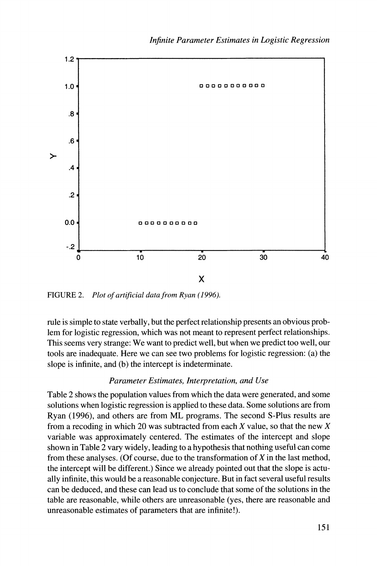

**FIGURE 2. Plot of artificial data from Ryan (1996).** 

**rule is simple to state verbally, but the perfect relationship presents an obvious problem for logistic regression, which was not meant to represent perfect relationships. This seems very strange: We want to predict well, but when we predict too well, our tools are inadequate. Here we can see two problems for logistic regression: (a) the slope is infinite, and (b) the intercept is indeterminate.** 

# **Parameter Estimates, Interpretation, and Use**

**Table 2 shows the population values from which the data were generated, and some solutions when logistic regression is applied to these data. Some solutions are from Ryan (1996), and others are from ML programs. The second S-Plus results are from a recoding in which 20 was subtracted from each X value, so that the new X variable was approximately centered. The estimates of the intercept and slope shown in Table 2 vary widely, leading to a hypothesis that nothing useful can come from these analyses. (Of course, due to the transformation of X in the last method, the intercept will be different.) Since we already pointed out that the slope is actually infinite, this would be a reasonable conjecture. But in fact several useful results can be deduced, and these can lead us to conclude that some of the solutions in the table are reasonable, while others are unreasonable (yes, there are reasonable and unreasonable estimates of parameters that are infinite!).**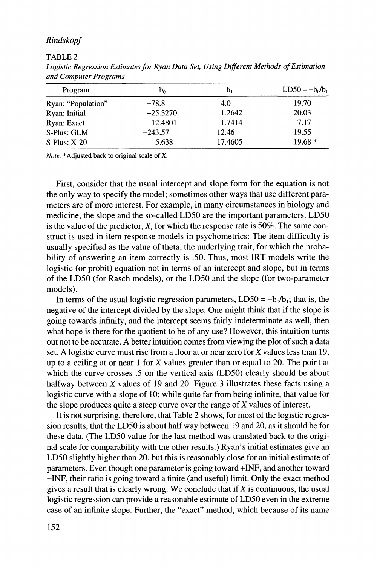#### **TABLE 2**

| Program            | $b_0$      | b,      | $LD50 = -b_0/b_1$ |
|--------------------|------------|---------|-------------------|
| Ryan: "Population" | $-78.8$    | 4.0     | 19.70             |
| Ryan: Initial      | $-25.3270$ | 1.2642  | 20.03             |
| Ryan: Exact        | $-12.4801$ | 1.7414  | 7.17              |
| S-Plus: GLM        | $-243.57$  | 12.46   | 19.55             |
| $S-Plus: X-20$     | 5.638      | 17.4605 | $19.68*$          |

**Logistic Regression Estimates for Ryan Data Set, Using Different Methods of Estimation and Computer Programs** 

**Note. \*Adjusted back to original scale of X.** 

**First, consider that the usual intercept and slope form for the equation is not the only way to specify the model; sometimes other ways that use different parameters are of more interest. For example, in many circumstances in biology and medicine, the slope and the so-called LD50 are the important parameters. LD50 is the value of the predictor, X, for which the response rate is 50%. The same construct is used in item response models in psychometrics: The item difficulty is usually specified as the value of theta, the underlying trait, for which the probability of answering an item correctly is .50. Thus, most IRT models write the logistic (or probit) equation not in terms of an intercept and slope, but in terms of the LD50 (for Rasch models), or the LD50 and the slope (for two-parameter models).** 

In terms of the usual logistic regression parameters,  $LD50 = -b_0/b_1$ ; that is, the **negative of the intercept divided by the slope. One might think that if the slope is going towards infinity, and the intercept seems fairly indeterminate as well, then what hope is there for the quotient to be of any use? However, this intuition turns out not to be accurate. A better intuition comes from viewing the plot of such a data set. A logistic curve must rise from a floor at or near zero for X values less than 19, up to a ceiling at or near 1 for X values greater than or equal to 20. The point at which the curve crosses .5 on the vertical axis (LD50) clearly should be about halfway between X values of 19 and 20. Figure 3 illustrates these facts using a logistic curve with a slope of 10; while quite far from being infinite, that value for the slope produces quite a steep curve over the range of X values of interest.** 

**It is not surprising, therefore, that Table 2 shows, for most of the logistic regression results, that the LD50 is about half way between 19 and 20, as it should be for these data. (The LD50 value for the last method was translated back to the original scale for comparability with the other results.) Ryan's initial estimates give an LD50 slightly higher than 20, but this is reasonably close for an initial estimate of parameters. Even though one parameter is going toward +INF, and another toward -INF, their ratio is going toward a finite (and useful) limit. Only the exact method gives a result that is clearly wrong. We conclude that if X is continuous, the usual logistic regression can provide a reasonable estimate of LD50 even in the extreme case of an infinite slope. Further, the "exact" method, which because of its name**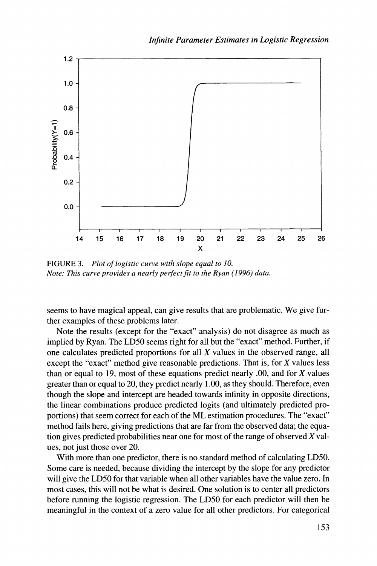

**FIGURE 3. Plot of logistic curve with slope equal to 10.**  Note: This curve provides a nearly perfect fit to the Ryan (1996) data.

**seems to have magical appeal, can give results that are problematic. We give further examples of these problems later.** 

**Note the results (except for the "exact" analysis) do not disagree as much as implied by Ryan. The LD50 seems right for all but the "exact" method. Further, if one calculates predicted proportions for all X values in the observed range, all except the "exact" method give reasonable predictions. That is, for X values less than or equal to 19, most of these equations predict nearly .00, and for X values greater than or equal to 20, they predict nearly 1.00, as they should. Therefore, even though the slope and intercept are headed towards infinity in opposite directions, the linear combinations produce predicted logits (and ultimately predicted proportions) that seem correct for each of the ML estimation procedures. The "exact" method fails here, giving predictions that are far from the observed data; the equation gives predicted probabilities near one for most of the range of observed X values, not just those over 20.** 

**With more than one predictor, there is no standard method of calculating LD50. Some care is needed, because dividing the intercept by the slope for any predictor will give the LD50 for that variable when all other variables have the value zero. In most cases, this will not be what is desired. One solution is to center all predictors before running the logistic regression. The LD50 for each predictor will then be meaningful in the context of a zero value for all other predictors. For categorical**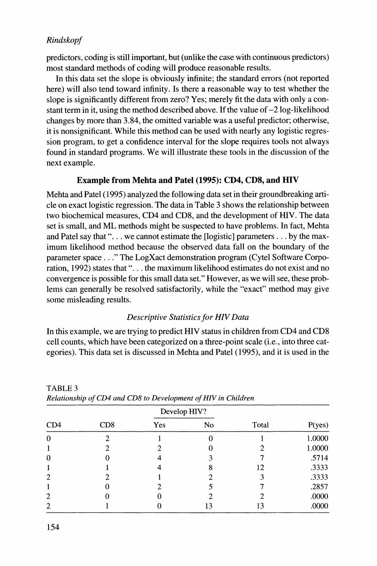**predictors, coding is still important, but (unlike the case with continuous predictors) most standard methods of coding will produce reasonable results.** 

**In this data set the slope is obviously infinite; the standard errors (not reported here) will also tend toward infinity. Is there a reasonable way to test whether the slope is significantly different from zero? Yes; merely fit the data with only a constant term in it, using the method described above. If the value of-2 log-likelihood changes by more than 3.84, the omitted variable was a useful predictor; otherwise, it is nonsignificant. While this method can be used with nearly any logistic regression program, to get a confidence interval for the slope requires tools not always found in standard programs. We will illustrate these tools in the discussion of the next example.** 

## **Example from Mehta and Patel (1995): CD4, CD8, and HIV**

**Mehta and Patel (1995) analyzed the following data set in their groundbreaking article on exact logistic regression. The data in Table 3 shows the relationship between two biochemical measures, CD4 and CD8, and the development of HIV. The data set is small, and ML methods might be suspected to have problems. In fact, Mehta and Patel say that "... we cannot estimate the [logistic] parameters ... by the maximum likelihood method because the observed data fall on the boundary of the parameter space.. ." The LogXact demonstration program (Cytel Software Corporation, 1992) states that ". .. the maximum likelihood estimates do not exist and no convergence is possible for this small data set." However, as we will see, these problems can generally be resolved satisfactorily, while the "exact" method may give some misleading results.** 

## **Descriptive Statistics for HIV Data**

**In this example, we are trying to predict HIV status in children from CD4 and CD8 cell counts, which have been categorized on a three-point scale (i.e., into three categories). This data set is discussed in Mehta and Patel (1995), and it is used in the** 

|                |     |     | Develop HIV? |       |        |
|----------------|-----|-----|--------------|-------|--------|
| CD4            | CD8 | Yes | No           | Total | P(yes) |
| 0              |     |     |              |       | 1.0000 |
|                |     |     |              |       | 1.0000 |
| 0              |     |     |              |       | .5714  |
|                |     |     |              | 12    | .3333  |
| $\overline{2}$ |     |     |              |       | .3333  |
|                |     |     |              |       | .2857  |
| 2              |     |     |              |       | .0000  |
| $\overline{2}$ |     |     | 13           | 13    | .0000  |

**Relationship of CD4 and CD8 to Development of HIV in Children** 

**TABLE 3**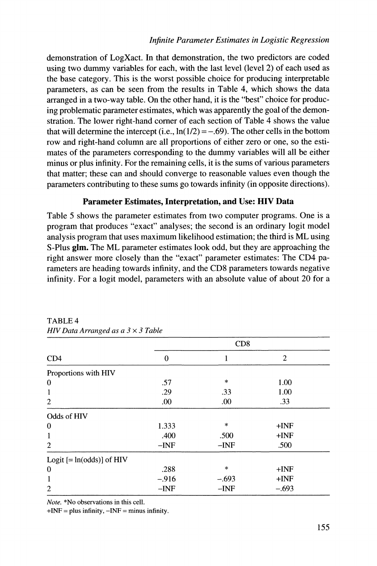**demonstration of LogXact. In that demonstration, the two predictors are coded using two dummy variables for each, with the last level (level 2) of each used as the base category. This is the worst possible choice for producing interpretable parameters, as can be seen from the results in Table 4, which shows the data arranged in a two-way table. On the other hand, it is the "best" choice for producing problematic parameter estimates, which was apparently the goal of the demonstration. The lower right-hand corer of each section of Table 4 shows the value**  that will determine the intercept (i.e.,  $\ln(1/2) = -.69$ ). The other cells in the bottom **row and right-hand column are all proportions of either zero or one, so the estimates of the parameters corresponding to the dummy variables will all be either minus or plus infinity. For the remaining cells, it is the sums of various parameters that matter; these can and should converge to reasonable values even though the parameters contributing to these sums go towards infinity (in opposite directions).** 

# **Parameter Estimates, Interpretation, and Use: HIV Data**

**Table 5 shows the parameter estimates from two computer programs. One is a program that produces "exact" analyses; the second is an ordinary logit model analysis program that uses maximum likelihood estimation; the third is ML using S-Plus glm. The ML parameter estimates look odd, but they are approaching the right answer more closely than the "exact" parameter estimates: The CD4 parameters are heading towards infinity, and the CD8 parameters towards negative infinity. For a logit model, parameters with an absolute value of about 20 for a** 

|                             |          | CD8     |                |  |
|-----------------------------|----------|---------|----------------|--|
| CD4                         | $\Omega$ | п       | $\overline{2}$ |  |
| Proportions with HIV        |          |         |                |  |
| $\mathbf 0$                 | .57      | $\star$ | 1.00           |  |
| 1                           | .29      | .33     | 1.00           |  |
| $\overline{2}$              | .00.     | .00     | .33            |  |
| Odds of HIV                 |          |         |                |  |
| $\bf{0}$                    | 1.333    | $\star$ | $+INF$         |  |
| 1                           | .400     | .500    | $+INF$         |  |
| $\overline{2}$              | $-INF$   | $-INF$  | .500           |  |
| Logit $[= ln(odds)]$ of HIV |          |         |                |  |
| 0                           | .288     | $\ast$  | $+INF$         |  |
| 1                           | $-.916$  | $-.693$ | $+INF$         |  |
| $\overline{2}$              | $-INF$   | $-INF$  | $-.693$        |  |

**TABLE 4 HIV Data Arranged as a 3 x 3 Table** 

**Note. \*No observations in this cell.** 

**+INF = plus infinity, -INF = minus infinity.**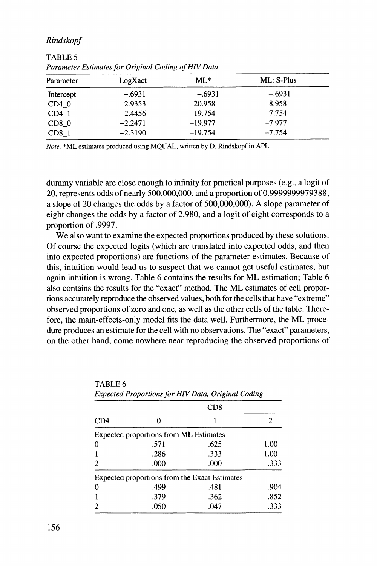| $\sim$ 0.000 0.000 0.000 0.000 0.000 0.000 0.000 0.000 0.000 0.000 0.000 0.000 0.000 0.000 0.000 0.000 0.000 0.000 0.000 0.000 0.000 0.000 0.000 0.000 0.000 0.000 0.000 0.000 0.000 0.000 0.000 0.000 0.000 0.000 0.000 0.000 |           |           |            |  |  |
|--------------------------------------------------------------------------------------------------------------------------------------------------------------------------------------------------------------------------------|-----------|-----------|------------|--|--|
| Parameter                                                                                                                                                                                                                      | LogXact   | $ML^*$    | ML: S-Plus |  |  |
| Intercept                                                                                                                                                                                                                      | $-.6931$  | $-.6931$  | $-.6931$   |  |  |
| CD40                                                                                                                                                                                                                           | 2.9353    | 20.958    | 8.958      |  |  |
| CD41                                                                                                                                                                                                                           | 2.4456    | 19.754    | 7.754      |  |  |
| CD80                                                                                                                                                                                                                           | $-2.2471$ | $-19.977$ | $-7.977$   |  |  |
| CD8 <sub>1</sub>                                                                                                                                                                                                               | $-2.3190$ | $-19.754$ | $-7.754$   |  |  |

**TABLE 5 Parameter Estimates for Original Coding of HIV Data** 

**Note. \*ML estimates produced using MQUAL, written by D. Rindskopf in APL.** 

**dummy variable are close enough to infinity for practical purposes (e.g., a logit of 20, represents odds of nearly 500,000,000, and a proportion of 0.9999999979388; a slope of 20 changes the odds by a factor of 500,000,000). A slope parameter of eight changes the odds by a factor of 2,980, and a logit of eight corresponds to a proportion of .9997.** 

**We also want to examine the expected proportions produced by these solutions. Of course the expected logits (which are translated into expected odds, and then into expected proportions) are functions of the parameter estimates. Because of this, intuition would lead us to suspect that we cannot get useful estimates, but again intuition is wrong. Table 6 contains the results for ML estimation; Table 6 also contains the results for the "exact" method. The ML estimates of cell proportions accurately reproduce the observed values, both for the cells that have "extreme" observed proportions of zero and one, as well as the other cells of the table. Therefore, the main-effects-only model fits the data well. Furthermore, the ML procedure produces an estimate for the cell with no observations. The "exact" parameters, on the other hand, come nowhere near reproducing the observed proportions of** 

|                | <b>Expected Proportions for HIV Data, Original Coding</b> |              |      |  |  |  |  |
|----------------|-----------------------------------------------------------|--------------|------|--|--|--|--|
|                |                                                           | CD8          |      |  |  |  |  |
| CD4            |                                                           |              | 2    |  |  |  |  |
|                | Expected proportions from ML Estimates                    |              |      |  |  |  |  |
| 0              | .571                                                      | .625         | 1.00 |  |  |  |  |
| 1              | .286                                                      | .333         | 1.00 |  |  |  |  |
| 2              | .000                                                      | .000<br>.333 |      |  |  |  |  |
|                | Expected proportions from the Exact Estimates             |              |      |  |  |  |  |
| 0              | .499                                                      | .481         | .904 |  |  |  |  |
| 1              | .379                                                      | .362         | .852 |  |  |  |  |
| $\overline{2}$ | .050                                                      | .047         | .333 |  |  |  |  |

**TABLE 6**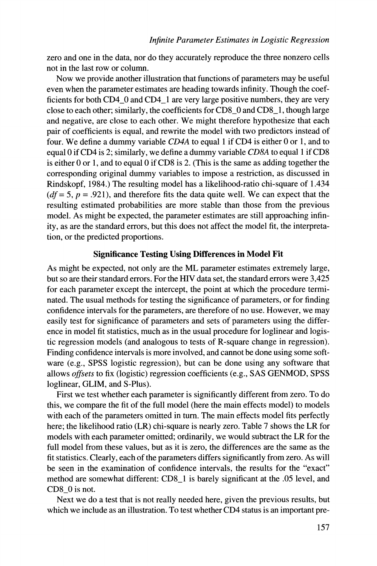**zero and one in the data, nor do they accurately reproduce the three nonzero cells not in the last row or column.** 

**Now we provide another illustration that functions of parameters may be useful even when the parameter estimates are heading towards infinity. Though the coefficients for both CD4\_0 and CD4\_1 are very large positive numbers, they are very close to each other; similarly, the coefficients for CD8\_0 and CD8\_1, though large and negative, are close to each other. We might therefore hypothesize that each pair of coefficients is equal, and rewrite the model with two predictors instead of four. We define a dummy variable CD4A to equal 1 if CD4 is either 0 or 1, and to equal 0 if CD4 is 2; similarly, we define a dummy variable CD8A to equal 1 if CD8 is either 0 or 1, and to equal 0 if CD8 is 2. (This is the same as adding together the corresponding original dummy variables to impose a restriction, as discussed in Rindskopf, 1984.) The resulting model has a likelihood-ratio chi-square of 1.434**   $(df = 5, p = .921)$ , and therefore fits the data quite well. We can expect that the **resulting estimated probabilities are more stable than those from the previous model. As might be expected, the parameter estimates are still approaching infinity, as are the standard errors, but this does not affect the model fit, the interpretation, or the predicted proportions.** 

## **Significance Testing Using Differences in Model Fit**

**As might be expected, not only are the ML parameter estimates extremely large, but so are their standard errors. For the HIV data set, the standard errors were 3,425 for each parameter except the intercept, the point at which the procedure terminated. The usual methods for testing the significance of parameters, or for finding confidence intervals for the parameters, are therefore of no use. However, we may easily test for significance of parameters and sets of parameters using the difference in model fit statistics, much as in the usual procedure for loglinear and logistic regression models (and analogous to tests of R-square change in regression). Finding confidence intervals is more involved, and cannot be done using some software (e.g., SPSS logistic regression), but can be done using any software that allows offsets to fix (logistic) regression coefficients (e.g., SAS GENMOD, SPSS loglinear, GLIM, and S-Plus).** 

**First we test whether each parameter is significantly different from zero. To do this, we compare the fit of the full model (here the main effects model) to models with each of the parameters omitted in turn. The main effects model fits perfectly here; the likelihood ratio (LR) chi-square is nearly zero. Table 7 shows the LR for models with each parameter omitted; ordinarily, we would subtract the LR for the full model from these values, but as it is zero, the differences are the same as the fit statistics. Clearly, each of the parameters differs significantly from zero. As will be seen in the examination of confidence intervals, the results for the "exact" method are somewhat different: CD8\_1 is barely significant at the .05 level, and CD8\_0 is not.** 

**Next we do a test that is not really needed here, given the previous results, but which we include as an illustration. To test whether CD4 status is an important pre-**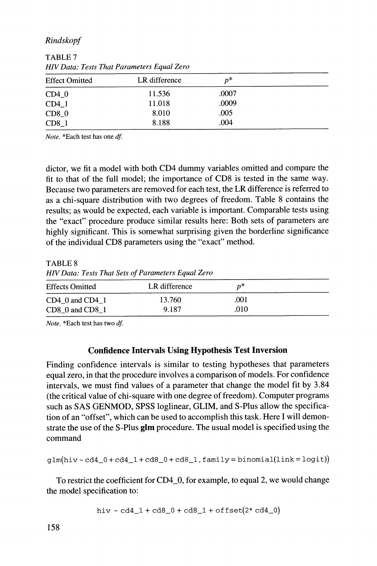| <b>Effect Omitted</b> | LR difference | $p^*$ |  |  |
|-----------------------|---------------|-------|--|--|
| CD40                  | 11.536        | .0007 |  |  |
| $CD4_1$               | 11.018        | .0009 |  |  |
| CD80                  | 8.010         | .005  |  |  |
| CD8 <sub>1</sub>      | 8.188         | .004  |  |  |

**TABLE 7 HIV Data: Tests That Parameters Equal Zero** 

**Note. \*Each test has one df.** 

**dictor, we fit a model with both CD4 dummy variables omitted and compare the fit to that of the full model; the importance of CD8 is tested in the same way. Because two parameters are removed for each test, the LR difference is referred to as a chi-square distribution with two degrees of freedom. Table 8 contains the results; as would be expected, each variable is important. Comparable tests using the "exact" procedure produce similar results here: Both sets of parameters are highly significant. This is somewhat surprising given the borderline significance of the individual CD8 parameters using the "exact" method.** 

**TABLE 8** 

**HIV Data: Tests That Sets of Parameters Equal Zero** 

| <b>Effects Omitted</b> | LR difference | n*   |  |
|------------------------|---------------|------|--|
| $CD4$ 0 and $CD4$ 1    | 13.760        | .001 |  |
| CD8 0 and CD8 1        | 9.187         | .010 |  |

Note. \*Each test has two df.

# **Confidence Intervals Using Hypothesis Test Inversion**

**Finding confidence intervals is similar to testing hypotheses that parameters equal zero, in that the procedure involves a comparison of models. For confidence intervals, we must find values of a parameter that change the model fit by 3.84 (the critical value of chi-square with one degree of freedom). Computer programs such as SAS GENMOD, SPSS loglinear, GLIM, and S-Plus allow the specification of an "offset", which can be used to accomplish this task. Here I will demonstrate the use of the S-Plus gim procedure. The usual model is specified using the command** 

**glm(hiv ~ cd4\_0 + cd4\_1 + cd8\_0 + cd8\_1, family = binomial(link = logit))** 

**To restrict the coefficient for CD4\_0, for example, to equal 2, we would change the model specification to:** 

**hiv - cd4\_1 + cd8\_0 + cd8\_1 + offset(2\* cd4\_0)**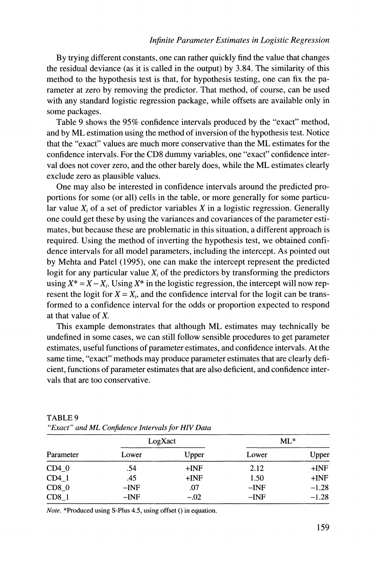**By trying different constants, one can rather quickly find the value that changes the residual deviance (as it is called in the output) by 3.84. The similarity of this method to the hypothesis test is that, for hypothesis testing, one can fix the parameter at zero by removing the predictor. That method, of course, can be used with any standard logistic regression package, while offsets are available only in some packages.** 

**Table 9 shows the 95% confidence intervals produced by the "exact" method, and by ML estimation using the method of inversion of the hypothesis test. Notice that the "exact" values are much more conservative than the ML estimates for the confidence intervals. For the CD8 dummy variables, one "exact" confidence interval does not cover zero, and the other barely does, while the ML estimates clearly exclude zero as plausible values.** 

**One may also be interested in confidence intervals around the predicted proportions for some (or all) cells in the table, or more generally for some particu**lar value  $X_i$  of a set of predictor variables  $X$  in a logistic regression. Generally **one could get these by using the variances and covariances of the parameter estimates, but because these are problematic in this situation, a different approach is required. Using the method of inverting the hypothesis test, we obtained confidence intervals for all model parameters, including the intercept. As pointed out by Mehta and Patel (1995), one can make the intercept represent the predicted**  logit for any particular value  $X_i$  of the predictors by transforming the predictors using  $X^* = X - X_i$ . Using  $X^*$  in the logistic regression, the intercept will now represent the logit for  $X = X_i$ , and the confidence interval for the logit can be trans**formed to a confidence interval for the odds or proportion expected to respond at that value of X.** 

**This example demonstrates that although ML estimates may technically be undefined in some cases, we can still follow sensible procedures to get parameter estimates, useful functions of parameter estimates, and confidence intervals. At the same time, "exact" methods may produce parameter estimates that are clearly deficient, functions of parameter estimates that are also deficient, and confidence intervals that are too conservative.** 

|                  | LogXact |        | $ML^*$ |         |
|------------------|---------|--------|--------|---------|
| Parameter        | Lower   | Upper  | Lower  | Upper   |
| CD40             | .54     | $+INF$ | 2.12   | $+INF$  |
| CD41             | .45     | $+IMF$ | 1.50   | $+INF$  |
| CD80             | $-INF$  | .07    | $-IMF$ | $-1.28$ |
| CD8 <sub>1</sub> | $-INF$  | $-.02$ | $-INF$ | $-1.28$ |

| <b>TABLE 9</b> |                                                  |  |  |
|----------------|--------------------------------------------------|--|--|
|                | "Exact" and ML Confidence Intervals for HIV Data |  |  |

Note. \*Produced using S-Plus 4.5, using offset () in equation.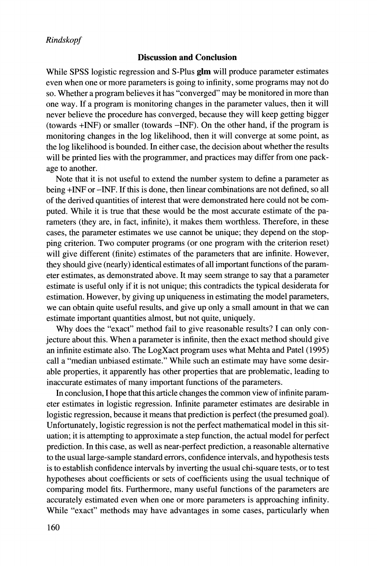#### **Discussion and Conclusion**

**While SPSS logistic regression and S-Plus glm will produce parameter estimates even when one or more parameters is going to infinity, some programs may not do so. Whether a program believes it has "converged" may be monitored in more than one way. If a program is monitoring changes in the parameter values, then it will never believe the procedure has converged, because they will keep getting bigger (towards +INF) or smaller (towards -INF). On the other hand, if the program is monitoring changes in the log likelihood, then it will converge at some point, as the log likelihood is bounded. In either case, the decision about whether the results will be printed lies with the programmer, and practices may differ from one package to another.** 

**Note that it is not useful to extend the number system to define a parameter as being +INF or -INF. If this is done, then linear combinations are not defined, so all of the derived quantities of interest that were demonstrated here could not be computed. While it is true that these would be the most accurate estimate of the parameters (they are, in fact, infinite), it makes them worthless. Therefore, in these cases, the parameter estimates we use cannot be unique; they depend on the stopping criterion. Two computer programs (or one program with the criterion reset) will give different (finite) estimates of the parameters that are infinite. However, they should give (nearly) identical estimates of all important functions of the parameter estimates, as demonstrated above. It may seem strange to say that a parameter estimate is useful only if it is not unique; this contradicts the typical desiderata for estimation. However, by giving up uniqueness in estimating the model parameters, we can obtain quite useful results, and give up only a small amount in that we can estimate important quantities almost, but not quite, uniquely.** 

**Why does the "exact" method fail to give reasonable results? I can only conjecture about this. When a parameter is infinite, then the exact method should give an infinite estimate also. The LogXact program uses what Mehta and Patel (1995) call a "median unbiased estimate." While such an estimate may have some desirable properties, it apparently has other properties that are problematic, leading to inaccurate estimates of many important functions of the parameters.** 

**In conclusion, I hope that this article changes the common view of infinite parameter estimates in logistic regression. Infinite parameter estimates are desirable in logistic regression, because it means that prediction is perfect (the presumed goal). Unfortunately, logistic regression is not the perfect mathematical model in this situation; it is attempting to approximate a step function, the actual model for perfect prediction. In this case, as well as near-perfect prediction, a reasonable alternative to the usual large-sample standard errors, confidence intervals, and hypothesis tests is to establish confidence intervals by inverting the usual chi-square tests, or to test hypotheses about coefficients or sets of coefficients using the usual technique of comparing model fits. Furthermore, many useful functions of the parameters are accurately estimated even when one or more parameters is approaching infinity. While "exact" methods may have advantages in some cases, particularly when**